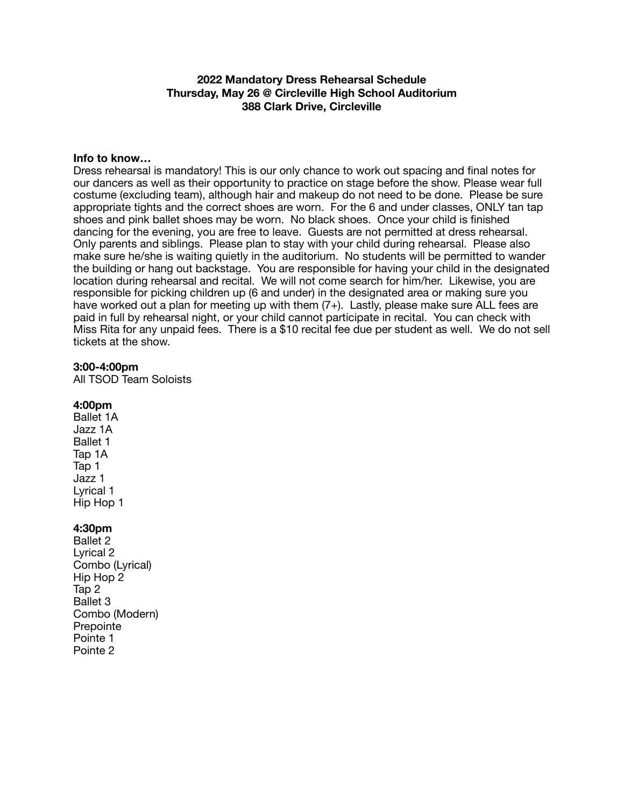# **2022 Mandatory Dress Rehearsal Schedule Thursday, May 26 @ Circleville High School Auditorium 388 Clark Drive, Circleville**

### **Info to know…**

Dress rehearsal is mandatory! This is our only chance to work out spacing and final notes for our dancers as well as their opportunity to practice on stage before the show. Please wear full costume (excluding team), although hair and makeup do not need to be done. Please be sure appropriate tights and the correct shoes are worn. For the 6 and under classes, ONLY tan tap shoes and pink ballet shoes may be worn. No black shoes. Once your child is finished dancing for the evening, you are free to leave. Guests are not permitted at dress rehearsal. Only parents and siblings. Please plan to stay with your child during rehearsal. Please also make sure he/she is waiting quietly in the auditorium. No students will be permitted to wander the building or hang out backstage. You are responsible for having your child in the designated location during rehearsal and recital. We will not come search for him/her. Likewise, you are responsible for picking children up (6 and under) in the designated area or making sure you have worked out a plan for meeting up with them (7+). Lastly, please make sure ALL fees are paid in full by rehearsal night, or your child cannot participate in recital. You can check with Miss Rita for any unpaid fees. There is a \$10 recital fee due per student as well. We do not sell tickets at the show.

#### **3:00-4:00pm**

All TSOD Team Soloists

## **4:00pm**

Ballet 1A Jazz 1A Ballet 1 Tap 1A Tap 1 Jazz 1 Lyrical 1 Hip Hop 1

## **4:30pm**

Ballet 2 Lyrical 2 Combo (Lyrical) Hip Hop 2 Tap 2 Ballet 3 Combo (Modern) Prepointe Pointe 1 Pointe 2